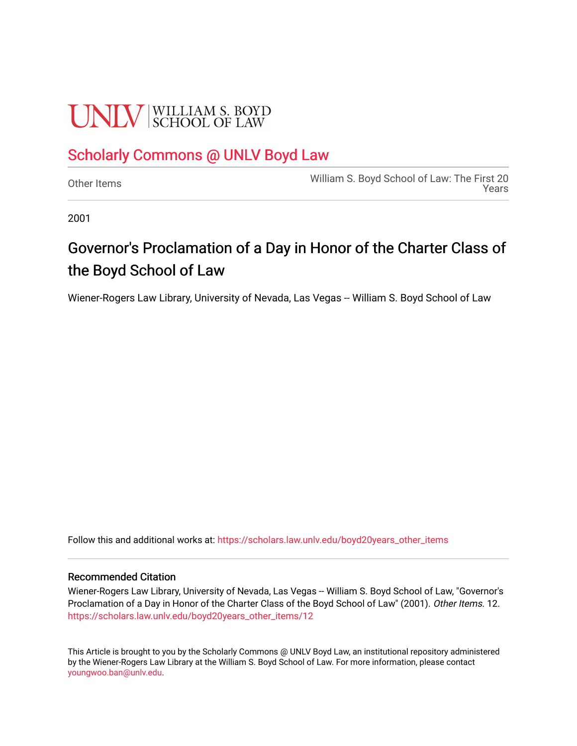# **UNIV** SCHOOL OF LAW

#### [Scholarly Commons @ UNLV Boyd Law](https://scholars.law.unlv.edu/)

[Other Items](https://scholars.law.unlv.edu/boyd20years_other_items) [William S. Boyd School of Law: The First 20](https://scholars.law.unlv.edu/boyd20years)  [Years](https://scholars.law.unlv.edu/boyd20years) 

2001

### Governor's Proclamation of a Day in Honor of the Charter Class of the Boyd School of Law

Wiener-Rogers Law Library, University of Nevada, Las Vegas -- William S. Boyd School of Law

Follow this and additional works at: [https://scholars.law.unlv.edu/boyd20years\\_other\\_items](https://scholars.law.unlv.edu/boyd20years_other_items?utm_source=scholars.law.unlv.edu%2Fboyd20years_other_items%2F12&utm_medium=PDF&utm_campaign=PDFCoverPages)

#### Recommended Citation

Wiener-Rogers Law Library, University of Nevada, Las Vegas -- William S. Boyd School of Law, "Governor's Proclamation of a Day in Honor of the Charter Class of the Boyd School of Law" (2001). Other Items. 12. [https://scholars.law.unlv.edu/boyd20years\\_other\\_items/12](https://scholars.law.unlv.edu/boyd20years_other_items/12?utm_source=scholars.law.unlv.edu%2Fboyd20years_other_items%2F12&utm_medium=PDF&utm_campaign=PDFCoverPages) 

This Article is brought to you by the Scholarly Commons @ UNLV Boyd Law, an institutional repository administered by the Wiener-Rogers Law Library at the William S. Boyd School of Law. For more information, please contact [youngwoo.ban@unlv.edu.](mailto:youngwoo.ban@unlv.edu)